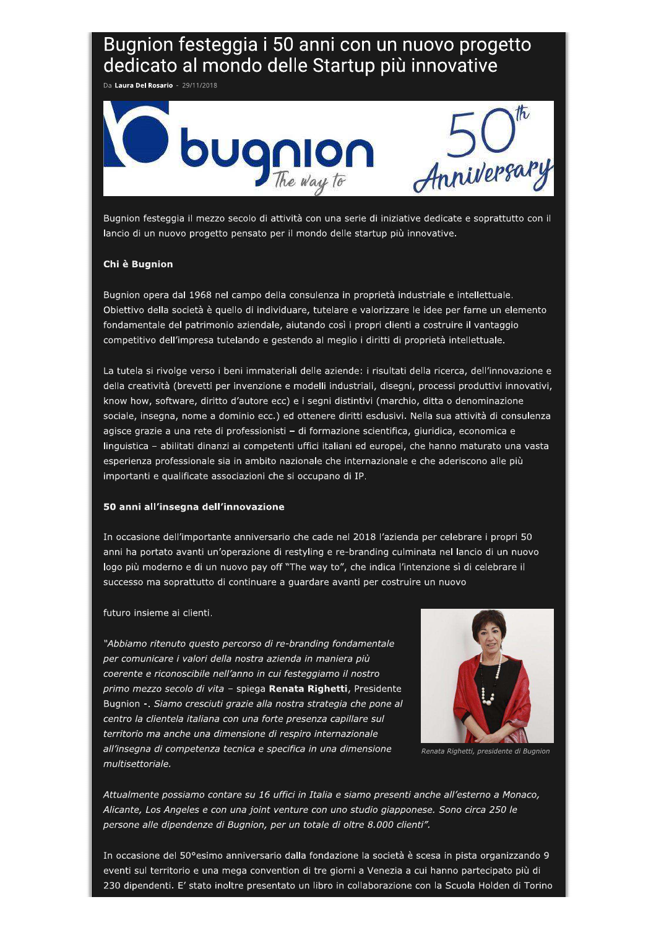# Bugnion festeggia i 50 anni con un nuovo progetto dedicato al mondo delle Startup più innovative

Da Laura Del Rosario - 29/11/2018



Bugnion festeggia il mezzo secolo di attività con una serie di iniziative dedicate e soprattutto con il lancio di un nuovo progetto pensato per il mondo delle startup più innovative.

## Chi è Bugnion

Bugnion opera dal 1968 nel campo della consulenza in proprietà industriale e intellettuale. Obiettivo della società è quello di individuare, tutelare e valorizzare le idee per farne un elemento fondamentale del patrimonio aziendale, aiutando così i propri clienti a costruire il vantaggio competitivo dell'impresa tutelando e gestendo al meglio i diritti di proprietà intellettuale.

La tutela si rivolge verso i beni immateriali delle aziende: i risultati della ricerca, dell'innovazione e della creatività (brevetti per invenzione e modelli industriali, disegni, processi produttivi innovativi, know how, software, diritto d'autore ecc) e i segni distintivi (marchio, ditta o denominazione sociale, insegna, nome a dominio ecc.) ed ottenere diritti esclusivi. Nella sua attività di consulenza agisce grazie a una rete di professionisti - di formazione scientifica, giuridica, economica e linguistica - abilitati dinanzi ai competenti uffici italiani ed europei, che hanno maturato una vasta esperienza professionale sia in ambito nazionale che internazionale e che aderiscono alle più importanti e qualificate associazioni che si occupano di IP.

### 50 anni all'insegna dell'innovazione

In occasione dell'importante anniversario che cade nel 2018 l'azienda per celebrare i propri 50 anni ha portato avanti un'operazione di restyling e re-branding culminata nel lancio di un nuovo logo più moderno e di un nuovo pay off "The way to", che indica l'intenzione sì di celebrare il successo ma soprattutto di continuare a guardare avanti per costruire un nuovo

### futuro insieme ai clienti.

"Abbiamo ritenuto questo percorso di re-branding fondamentale per comunicare i valori della nostra azienda in maniera più coerente e riconoscibile nell'anno in cui festeggiamo il nostro primo mezzo secolo di vita - spiega Renata Righetti, Presidente Bugnion -. Siamo cresciuti grazie alla nostra strategia che pone al centro la clientela italiana con una forte presenza capillare sul territorio ma anche una dimensione di respiro internazionale all'insegna di competenza tecnica e specifica in una dimensione multisettoriale.



Renata Righetti, presidente di Bugnion

Attualmente possiamo contare su 16 uffici in Italia e siamo presenti anche all'esterno a Monaco, Alicante, Los Angeles e con una joint venture con uno studio giapponese. Sono circa 250 le persone alle dipendenze di Bugnion, per un totale di oltre 8.000 clienti".

In occasione del 50° esimo anniversario dalla fondazione la società è scesa in pista organizzando 9 eventi sul territorio e una mega convention di tre giorni a Venezia a cui hanno partecipato più di 230 dipendenti. E' stato inoltre presentato un libro in collaborazione con la Scuola Holden di Torino